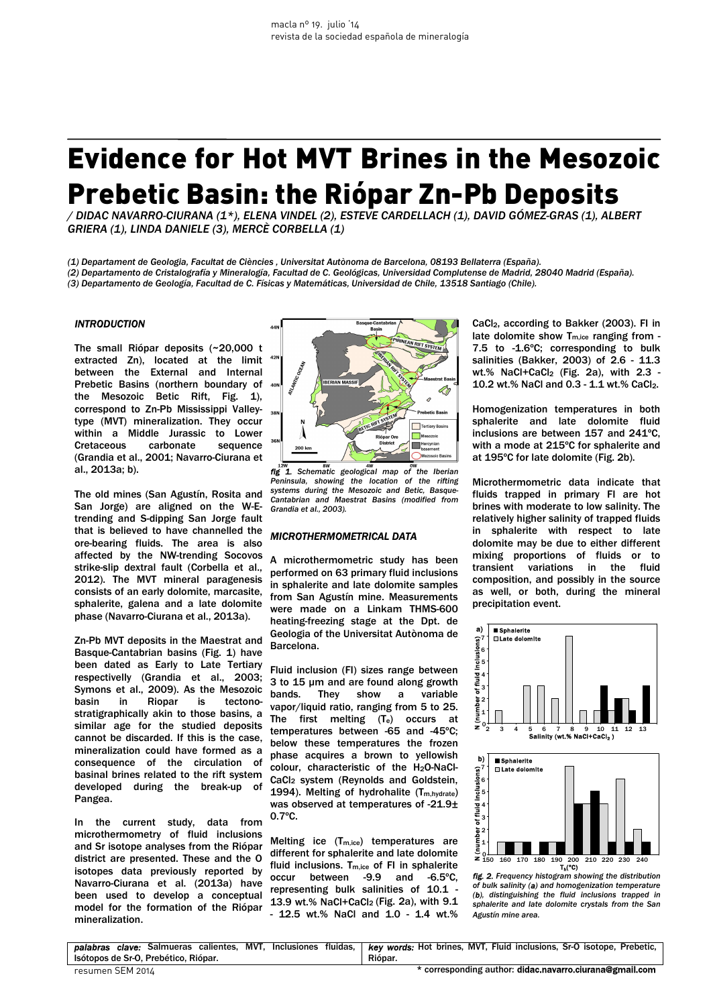# Evidence for Hot MVT Brines in the Mesozoic Prebetic Basin: the Riópar Zn-Pb Deposits

*/ DIDAC NAVARRO-CIURANA (1\*), ELENA VINDEL (2), ESTEVE CARDELLACH (1), DAVID GÓMEZ-GRAS (1), ALBERT GRIERA (1), LINDA DANIELE (3), MERCÈ CORBELLA (1)*

*(1) Departament de Geologia, Facultat de Ciències , Universitat Autònoma de Barcelona, 08193 Bellaterra (España).*

 *(2) Departamento de Cristalografía y Mineralogía, Facultad de C. Geológicas, Universidad Complutense de Madrid, 28040 Madrid (España).* 

*(3) Departamento de Geología, Facultad de C. Físicas y Matemáticas, Universidad de Chile, 13518 Santiago (Chile).* 

# *INTRODUCTION*

The small Riópar deposits (~20,000 t extracted Zn), located at the limit between the External and Internal Prebetic Basins (northern boundary of the Mesozoic Betic Rift, Fig. 1), correspond to Zn-Pb Mississippi Valleytype (MVT) mineralization. They occur within a Middle Jurassic to Lower Cretaceous carbonate sequence (Grandia et al., 2001; Navarro-Ciurana et al., 2013a; b).

The old mines (San Agustín, Rosita and San Jorge) are aligned on the W-Etrending and S-dipping San Jorge fault that is believed to have channelled the ore-bearing fluids. The area is also affected by the NW-trending Socovos strike-slip dextral fault (Corbella et al., 2012). The MVT mineral paragenesis consists of an early dolomite, marcasite, sphalerite, galena and a late dolomite phase (Navarro-Ciurana et al., 2013a).

Zn-Pb MVT deposits in the Maestrat and Basque-Cantabrian basins (Fig. 1) have been dated as Early to Late Tertiary respectivelly (Grandia et al., 2003; Symons et al., 2009). As the Mesozoic basin in Riopar is tectonostratigraphically akin to those basins, a similar age for the studied deposits cannot be discarded. If this is the case, mineralization could have formed as a consequence of the circulation of basinal brines related to the rift system developed during the break-up of Pangea.

In the current study, data from microthermometry of fluid inclusions and Sr isotope analyses from the Riópar district are presented. These and the O isotopes data previously reported by Navarro-Ciurana et al. (2013a) have been used to develop a conceptual model for the formation of the Riópar mineralization.



*x x x x x x x x x x x x x x x x x x x x x x x x x x x x x x x x x x x x x Peninsula, showing the location of the rifting systems during the Mesozoic and Betic, Basque-Cantabrian and Maestrat Basins (modified from Grandia et al., 2003).*

### *MICROTHERMOMETRICAL DATA*

A microthermometric study has been performed on 63 primary fluid inclusions in sphalerite and late dolomite samples from San Agustín mine. Measurements were made on a Linkam THMS-600 heating-freezing stage at the Dpt. de Geologia of the Universitat Autònoma de Barcelona.

Fluid inclusion (FI) sizes range between 3 to 15 µm and are found along growth bands. They show a variable vapor/liquid ratio, ranging from 5 to 25. The first melting (Te) occurs at temperatures between -65 and -45ºC; below these temperatures the frozen phase acquires a brown to yellowish colour, characteristic of the H2O-NaCl-CaCl2 system (Reynolds and Goldstein, 1994). Melting of hydrohalite (T<sub>m,hydrate</sub>) was observed at temperatures of -21.9± 0.7ºC.

Melting ice  $(T_{m,ice})$  temperatures are different for sphalerite and late dolomite fluid inclusions. T<sub>m,ice</sub> of FI in sphalerite occur between -9.9 and -6.5ºC, representing bulk salinities of 10.1 - 13.9 wt.% NaCl+CaCl<sub>2</sub> (Fig. 2a), with 9.1 - 12.5 wt.% NaCl and 1.0 - 1.4 wt.%

CaCl2, according to Bakker (2003). FI in late dolomite show  $T_{\text{m,ice}}$  ranging from -7.5 to -1.6ºC; corresponding to bulk salinities (Bakker, 2003) of 2.6 - 11.3 wt.% NaCl+CaCl<sub>2</sub> (Fig. 2a), with  $2.3$  -10.2 wt.% NaCl and 0.3 - 1.1 wt.% CaCl2.

Homogenization temperatures in both sphalerite and late dolomite fluid inclusions are between 157 and 241ºC, with a mode at 215ºC for sphalerite and at 195ºC for late dolomite (Fig. 2b).

Microthermometric data indicate that fluids trapped in primary FI are hot brines with moderate to low salinity. The relatively higher salinity of trapped fluids in sphalerite with respect to late dolomite may be due to either different mixing proportions of fluids or to transient variations in the fluid composition, and possibly in the source as well, or both, during the mineral precipitation event.



*fig. 2. Frequency histogram showing the distribution of bulk salinity (a) and homogenization temperature (b), distinguishing the fluid inclusions trapped in sphalerite and late dolomite crystals from the San Agustín mine area.* 

|                                      | palabras clave: Salmueras calientes, MVT, Inclusiones fluidas,   key words: Hot brines, MVT, Fluid inclusions, Sr-O isotope, Prebetic, |
|--------------------------------------|----------------------------------------------------------------------------------------------------------------------------------------|
| Isótopos de Sr-O. Prebético, Riópar. | Riópar.                                                                                                                                |
| resumen SEM 2014                     | * corresponding author: didac.navarro.ciurana@gmail.com                                                                                |